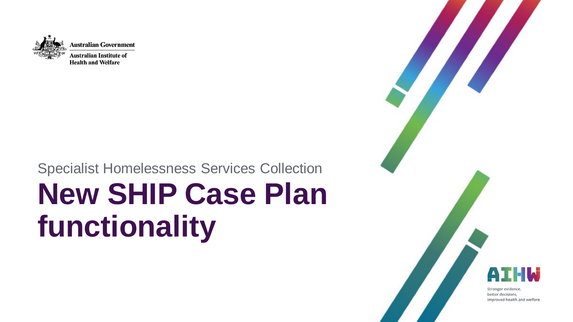

# **New SHIP Case Plan functionality** Specialist Homelessness Services Collection

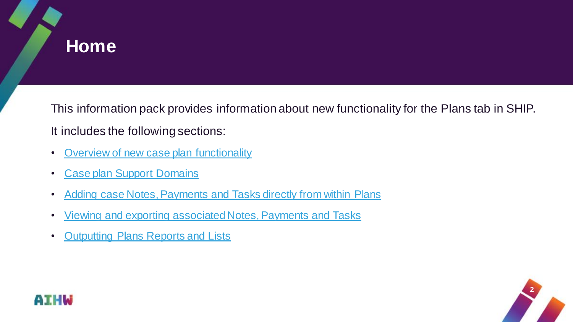#### **Home**

This information pack provides information about new functionality for the Plans tab in SHIP. It includes the following sections:

- [Overview of new case plan functionality](#page-2-0)
- **[Case plan Support Domains](#page-4-0)**
- [Adding case Notes, Payments and Tasks directly from within Plans](#page-6-0)
- [Viewing and exporting associated Notes, Payments and Tasks](#page-9-0)
- [Outputting Plans Reports and Lists](#page-13-0)



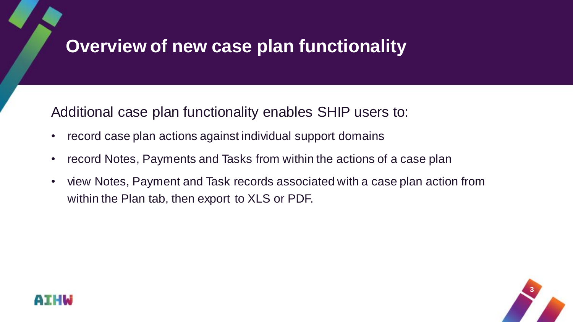#### <span id="page-2-0"></span>**Overview of new case plan functionality**

Additional case plan functionality enables SHIP users to:

- record case plan actions against individual support domains
- record Notes, Payments and Tasks from within the actions of a case plan
- view Notes, Payment and Task records associated with a case plan action from within the Plan tab, then export to XLS or PDF.



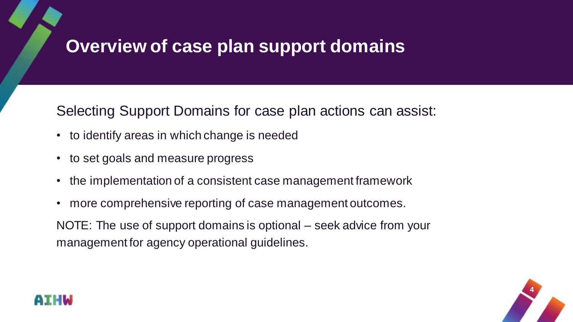#### **Overview of case plan support domains**

Selecting Support Domains for case plan actions can assist:

- to identify areas in which change is needed
- to set goals and measure progress
- the implementation of a consistent case management framework
- more comprehensive reporting of case management outcomes.

NOTE: The use of support domains is optional – seek advice from your management for agency operational guidelines.



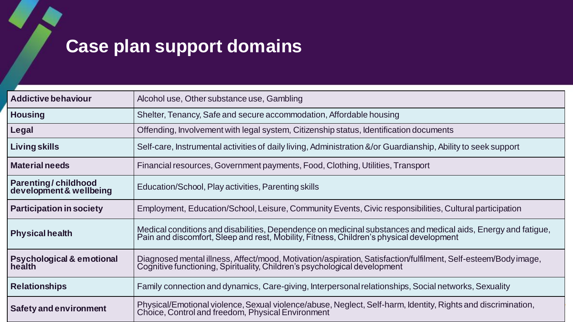## <span id="page-4-0"></span>**Case plan support domains**

| <b>Addictive behaviour</b>                            | Alcohol use, Other substance use, Gambling                                                                                                                                                               |
|-------------------------------------------------------|----------------------------------------------------------------------------------------------------------------------------------------------------------------------------------------------------------|
| <b>Housing</b>                                        | Shelter, Tenancy, Safe and secure accommodation, Affordable housing                                                                                                                                      |
| Legal                                                 | Offending, Involvement with legal system, Citizenship status, Identification documents                                                                                                                   |
| <b>Living skills</b>                                  | Self-care, Instrumental activities of daily living, Administration &/or Guardianship, Ability to seek support                                                                                            |
| <b>Material needs</b>                                 | Financial resources, Government payments, Food, Clothing, Utilities, Transport                                                                                                                           |
| <b>Parenting/childhood</b><br>development & wellbeing | Education/School, Play activities, Parenting skills                                                                                                                                                      |
| <b>Participation in society</b>                       | Employment, Education/School, Leisure, Community Events, Civic responsibilities, Cultural participation                                                                                                  |
| <b>Physical health</b>                                | Medical conditions and disabilities, Dependence on medicinal substances and medical aids, Energy and fatigue,<br>Pain and discomfort, Sleep and rest, Mobility, Fitness, Children's physical development |
| <b>Psychological &amp; emotional</b><br>health        | Diagnosed mental illness, Affect/mood, Motivation/aspiration, Satisfaction/fulfilment, Self-esteem/Body image,<br>Cognitive functioning, Spirituality, Children's psychological development              |
| <b>Relationships</b>                                  | Family connection and dynamics, Care-giving, Interpersonal relationships, Social networks, Sexuality                                                                                                     |
| Safety and environment                                | Physical/Emotional violence, Sexual violence/abuse, Neglect, Self-harm, Identity, Rights and discrimination,<br>Choice, Control and freedom, Physical Environment                                        |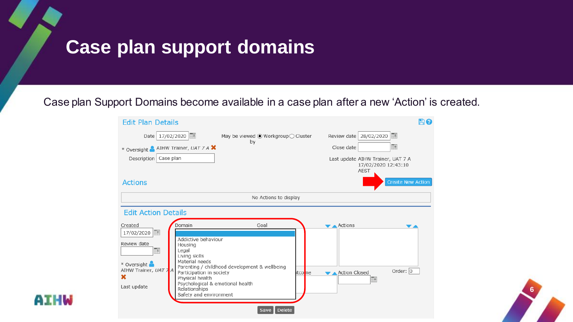## **Case plan support domains**

**AIHW** 

Case plan Support Domains become available in a case plan after a new 'Action' is created.

| Date 17/02/2020<br>酾<br>Review date   28/02/2020<br>May be viewed ◉ Workgroup ◯ Cluster<br>by<br>m<br>Close date<br>* Oversight & AIHW Trainer, UAT 7 A X<br>Case plan<br>Description<br>Last update AIHW Trainer, UAT 7 A<br>17/02/2020 12:43:10<br><b>AEST</b><br><b>Create New Action</b><br><b>Actions</b><br>No Actions to display<br><b>Edit Action Details</b><br>Created<br>Domain<br>Goal<br>$\blacktriangleright$ Actions<br>v a<br>酾<br>17/02/2020<br>Addictive behaviour<br>Review date<br>Housing<br>Legal<br>▦<br>Living skills<br>Material needs<br>* Oversight<br>Parenting / childhood development & wellbeing<br>AIHW Trainer, UAT 7A<br>Order: $\boxed{0}$<br>Participation in society<br>Action Closed<br>itco <mark>i</mark> ne<br>×<br>Physical health<br>H<br>Psychological & emotional health<br>Last update<br>Relationships<br>Safety and environment | <b>Edit Plan Details</b> |  | HO. |
|---------------------------------------------------------------------------------------------------------------------------------------------------------------------------------------------------------------------------------------------------------------------------------------------------------------------------------------------------------------------------------------------------------------------------------------------------------------------------------------------------------------------------------------------------------------------------------------------------------------------------------------------------------------------------------------------------------------------------------------------------------------------------------------------------------------------------------------------------------------------------------|--------------------------|--|-----|
|                                                                                                                                                                                                                                                                                                                                                                                                                                                                                                                                                                                                                                                                                                                                                                                                                                                                                 |                          |  |     |
|                                                                                                                                                                                                                                                                                                                                                                                                                                                                                                                                                                                                                                                                                                                                                                                                                                                                                 |                          |  |     |
|                                                                                                                                                                                                                                                                                                                                                                                                                                                                                                                                                                                                                                                                                                                                                                                                                                                                                 |                          |  |     |
|                                                                                                                                                                                                                                                                                                                                                                                                                                                                                                                                                                                                                                                                                                                                                                                                                                                                                 |                          |  |     |
|                                                                                                                                                                                                                                                                                                                                                                                                                                                                                                                                                                                                                                                                                                                                                                                                                                                                                 |                          |  |     |
|                                                                                                                                                                                                                                                                                                                                                                                                                                                                                                                                                                                                                                                                                                                                                                                                                                                                                 |                          |  |     |

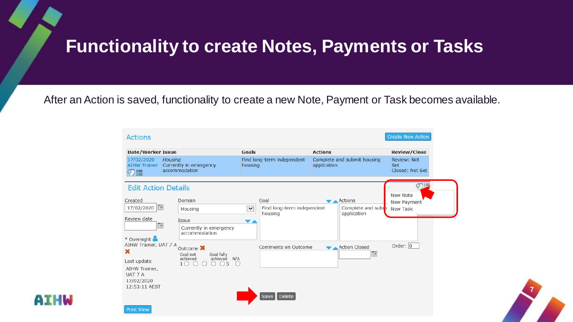#### <span id="page-6-0"></span>**Functionality to create Notes, Payments or Tasks**

After an Action is saved, functionality to create a new Note, Payment or Task becomes available.

#### **Actions Create New Action** Date/Worker Issue Goals **Actions Review/Close** Find long-term independent Complete and submit housing Review: Not 17/02/2020 Housing AIHW Trainer Currently in emergency housing application Set accommodation Closed: Not Set 切目 **Edit Action Details** New Note Created Domain Goal Actions  $\mathbf{v}$   $\mathbf{A}$ New Payment 17/02/2020  $\vert \mathbf{v} \vert$ Find long-term independent Complete and subr Housing New Task housing application Review date Issue  $\blacktriangledown$ Currently in emergency accommodation \* Oversight AIHW Trainer, UAT 7 A Order:  $\boxed{0}$ Comments on Outcome Action Closed Outcome X  $\mathbf x$ Goal not Goal fully achieved N/A achieved Last update  $10000050$ AIHW Trainer, UAT 7 A 17/02/2020 12:53:11 AEST Delete Print View

**7**

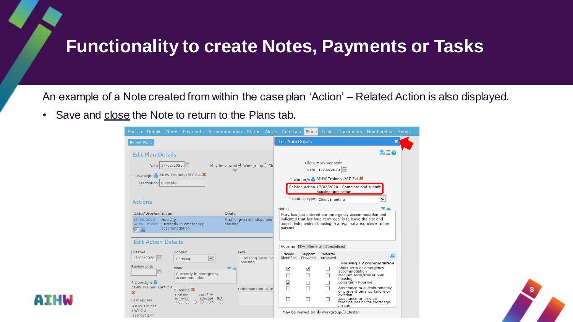#### **Functionality to create Notes, Payments or Tasks**

An example of a Note created from within the case plan 'Action' – Related Action is also displayed.

• Save and close the Note to return to the Plans tab.

|                            |                                                                                                                                                                                                                                                                                                                                                               |                 | Search Details Notes Payments Accommodation Status Alerts Referrals |                                                          |       |                                               |  |                                                          |                                 |                                        |                                                                                                      | Plans Tasks Documents Membership Memo                                                          |  |
|----------------------------|---------------------------------------------------------------------------------------------------------------------------------------------------------------------------------------------------------------------------------------------------------------------------------------------------------------------------------------------------------------|-----------------|---------------------------------------------------------------------|----------------------------------------------------------|-------|-----------------------------------------------|--|----------------------------------------------------------|---------------------------------|----------------------------------------|------------------------------------------------------------------------------------------------------|------------------------------------------------------------------------------------------------|--|
| <b>Export Plans</b>        |                                                                                                                                                                                                                                                                                                                                                               |                 |                                                                     |                                                          |       |                                               |  | <b>Edit Note Details</b>                                 |                                 |                                        |                                                                                                      |                                                                                                |  |
|                            | <b>Edit Plan Details</b>                                                                                                                                                                                                                                                                                                                                      |                 |                                                                     |                                                          |       |                                               |  |                                                          |                                 |                                        |                                                                                                      | B≋0                                                                                            |  |
|                            |                                                                                                                                                                                                                                                                                                                                                               | Date 17/02/2020 | * Oversight AIHW Trainer, UAT 7 A X                                 |                                                          | bv    | May be viewed $\bullet$ Workgroup $\circ$ Clu |  |                                                          |                                 | Client Mary Kennedy<br>Date 17/02/2020 |                                                                                                      |                                                                                                |  |
|                            | Description                                                                                                                                                                                                                                                                                                                                                   | Case plan       |                                                                     |                                                          |       |                                               |  |                                                          |                                 |                                        | * Worker/s AIHW Trainer, UAT 7 A X<br>Related Action 17/02/2020 - Complete and submit                |                                                                                                |  |
| <b>Actions</b>             |                                                                                                                                                                                                                                                                                                                                                               |                 |                                                                     |                                                          |       |                                               |  |                                                          | * Contact type                  | housing application<br>Client meeting  |                                                                                                      | $\checkmark$                                                                                   |  |
|                            |                                                                                                                                                                                                                                                                                                                                                               |                 |                                                                     |                                                          | Goals |                                               |  | Notes                                                    |                                 |                                        |                                                                                                      |                                                                                                |  |
| <b>Edit Action Details</b> | Date/Worker Issue<br>Mary has just entered our emergency accommodation and<br>indicated that her long-term goal is to leave the city and<br>17/02/2020<br>Find long-term independen<br>Housing<br>access independent housing in a regional area, closer to her<br><b>AIHW Trainer</b><br>Currently in emergency<br>housing<br>accommodation<br>parents.<br>ゆま |                 |                                                                     |                                                          |       |                                               |  |                                                          |                                 |                                        |                                                                                                      |                                                                                                |  |
|                            |                                                                                                                                                                                                                                                                                                                                                               |                 |                                                                     |                                                          |       |                                               |  |                                                          | Housing FDV General Specialised |                                        |                                                                                                      |                                                                                                |  |
| Created<br>17/02/2020      | 璑                                                                                                                                                                                                                                                                                                                                                             |                 | Domain<br>Housing                                                   | $\checkmark$                                             | Goal  | Find long-term ind                            |  | Needs<br>Identified                                      | Support<br>Provided             | Referral<br>Arranged                   |                                                                                                      |                                                                                                |  |
| Review date<br>* Oversight | ⊞                                                                                                                                                                                                                                                                                                                                                             | Issue           | Currently in emergency<br>accommodation                             |                                                          | ▼▲    | housing                                       |  | ✓<br>$\overline{\phantom{a}}$<br>$\overline{\mathsf{v}}$ | V<br>П<br>ш                     | □                                      | Short term or emergency<br>accommodation<br>Medium term/transitional<br>housina<br>Long term housing | <b>Housing / Accommodation</b>                                                                 |  |
| ×<br>Last update           | AIHW Trainer, UAT 7 A<br>AIHW Trainer,                                                                                                                                                                                                                                                                                                                        | $1\circ$        | Outcome X<br>Goal not<br>achieved<br>$\bigcap$<br>$\bigcirc$        | Goal fully<br>achieved N/A<br>$\bigcirc$ 5<br>$\bigcirc$ |       | Comments on Outo                              |  |                                                          |                                 |                                        | eviction<br>Assistance to prevent<br>arrears                                                         | Assistance to sustain tenancy<br>or prevent tenancy failure or<br>foreclosures or for mortgage |  |
| UAT 7 A<br>17/02/2020      |                                                                                                                                                                                                                                                                                                                                                               |                 |                                                                     |                                                          |       |                                               |  |                                                          |                                 |                                        | May be viewed by ◉ Workgroup ◯ Cluster                                                               |                                                                                                |  |



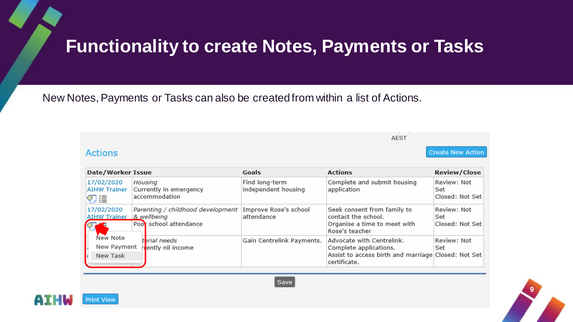#### **Functionality to create Notes, Payments or Tasks**

New Notes, Payments or Tasks can also be created from within a list of Actions.

|                                            |                                                               |                                       | AEST                                                                                                                       |                                       |
|--------------------------------------------|---------------------------------------------------------------|---------------------------------------|----------------------------------------------------------------------------------------------------------------------------|---------------------------------------|
| <b>Actions</b>                             |                                                               |                                       |                                                                                                                            | <b>Create New Action</b>              |
| Date/Worker Issue                          |                                                               | Goals                                 | <b>Actions</b>                                                                                                             | <b>Review/Close</b>                   |
| 17/02/2020<br><b>AIHW Trainer</b><br>Ÿ) i≣ | Housing<br>Currently in emergency<br>accommodation            | Find long-term<br>independent housing | Complete and submit housing<br>application                                                                                 | Review: Not<br>Set<br>Closed: Not Set |
| 17/02/2020<br>AIHW Trainer & wellbeing     | Parenting / childhood development<br>Poor school attendance   | Improve Rose's school<br>attendance   | Seek consent from family to<br>contact the school.<br>Organise a time to meet with<br>Rose's teacher                       | Review: Not<br>Set<br>Closed: Not Set |
| New Note<br>New Payment<br>New Task        | t <mark>erial needs</mark><br>t <mark>ently nil income</mark> | Gain Centrelink Payments.             | Advocate with Centrelink.<br>Complete applications.<br>Assist to access birth and marriage Closed: Not Set<br>certificate. | Review: Not<br>Set                    |



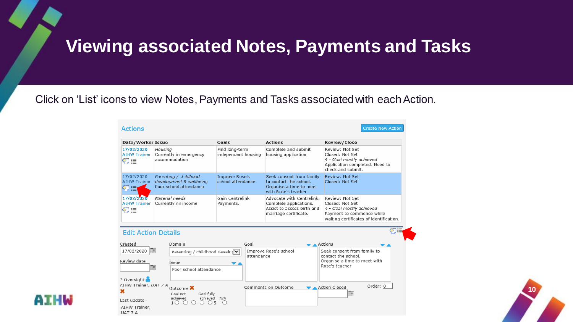#### <span id="page-9-0"></span>**Viewing associated Notes, Payments and Tasks**

Click on 'List' icons to view Notes, Payments and Tasks associated with each Action.

**AIHW** 

| <b>Actions</b>                            |                                                                            |                                            |                 |                                                                                                            | <b>Create New Action</b>                                                                                                               |
|-------------------------------------------|----------------------------------------------------------------------------|--------------------------------------------|-----------------|------------------------------------------------------------------------------------------------------------|----------------------------------------------------------------------------------------------------------------------------------------|
| Date/Worker Issue                         |                                                                            | Goals                                      |                 | <b>Actions</b>                                                                                             | <b>Review/Close</b>                                                                                                                    |
| 17/02/2020<br><b>AIHW Trainer</b><br>Đ≣   | Housing<br>Currently in emergency<br>accommodation                         | Find long-term<br>independent housing      |                 | Complete and submit<br>housing application                                                                 | Review: Not Set<br>Closed: Not Set<br>4 - Goal mostly achieved<br>Application completed. Need to<br>check and submit.                  |
| 17/02/2020<br><b>AIHW Trainer</b><br>切目   | Parenting / childhood<br>development & wellbeing<br>Poor school attendance | <b>Improve Rose's</b><br>school attendance |                 | Seek consent from family<br>to contact the school.<br>Organise a time to meet<br>with Rose's teacher       | <b>Review: Not Set</b><br>Closed: Not Set                                                                                              |
| 17/02/2020<br><b>AIHW Trainer</b><br>Đ≣   | Material needs<br>Currently nil income                                     |                                            | Gain Centrelink | Advocate with Centrelink.<br>Complete applications.<br>Assist to access birth and<br>marriage certificate. | Review: Not Set<br>Closed: Not Set<br>4 - Goal mostly achieved<br>Payment to commence while<br>waiting certificates of identification. |
| <b>Edit Action Details</b>                |                                                                            |                                            |                 |                                                                                                            |                                                                                                                                        |
| Created                                   | Domain                                                                     |                                            | Goal            |                                                                                                            | Actions                                                                                                                                |
| H<br>17/02/2020                           | Parenting / childhood develor                                              |                                            | attendance      | Improve Rose's school                                                                                      | Seek consent from family to<br>contact the school.                                                                                     |
| Review date                               | Issue                                                                      |                                            |                 |                                                                                                            | Organise a time to meet with<br>Rose's teacher                                                                                         |
|                                           | ₩<br>Poor school attendance                                                |                                            |                 |                                                                                                            |                                                                                                                                        |
| * Oversight<br>AIHW Trainer, UAT 7 A<br>× | Outcome X<br>Goal not<br>Goal fully                                        |                                            |                 | Comments on Outcome                                                                                        | Order: 0<br><b>Action Closed</b><br>m                                                                                                  |
| Last update                               | achieved<br>achieved<br>1 ()<br>$()$ 5                                     | N/A                                        |                 |                                                                                                            |                                                                                                                                        |
| AIHW Trainer,<br>UAT 7 A                  |                                                                            |                                            |                 |                                                                                                            |                                                                                                                                        |

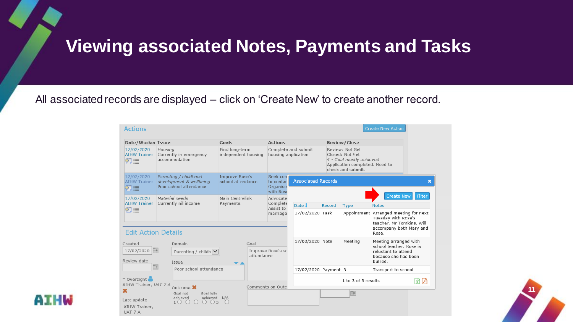#### **Viewing associated Notes, Payments and Tasks**

All associated records are displayed – click on 'Create New' to create another record.

AIHW

| <b>Actions</b>                               |                                                                            |                                       |                                                |                           |        |                                                                                                                       | <b>Create New Action</b>                                                                                                      |        |
|----------------------------------------------|----------------------------------------------------------------------------|---------------------------------------|------------------------------------------------|---------------------------|--------|-----------------------------------------------------------------------------------------------------------------------|-------------------------------------------------------------------------------------------------------------------------------|--------|
| Date/Worker Issue                            |                                                                            | Goals                                 | <b>Actions</b>                                 |                           |        | <b>Review/Close</b>                                                                                                   |                                                                                                                               |        |
| 17/02/2020<br><b>AIHW Trainer</b><br>ゆま      | Housing<br>Currently in emergency<br>accommodation                         | Find long-term<br>independent housing | Complete and submit<br>housing application     |                           |        | Review: Not Set<br>Closed: Not Set<br>4 - Goal mostly achieved<br>Application completed. Need to<br>check and submit. |                                                                                                                               |        |
| 17/02/2020<br><b>AIHW Trainer</b><br>ゆぼ      | Parenting / childhood<br>development & wellbeing<br>Poor school attendance | Improve Rose's<br>school attendance   | Seek con<br>to contad<br>Organise<br>with Rose | <b>Associated Records</b> |        |                                                                                                                       |                                                                                                                               |        |
| 17/02/2020                                   | Material needs                                                             | Gain Centrelink                       | Advocate                                       |                           |        |                                                                                                                       | <b>Create New</b>                                                                                                             | Filter |
| <b>AIHW Trainer</b>                          | Currently nil income                                                       | Payments.                             | Complete<br>Assist to                          | Date 1                    | Record | <b>Type</b>                                                                                                           | <b>Notes</b>                                                                                                                  |        |
| ቑ≣<br><b>Edit Action Details</b>             |                                                                            |                                       | marriage                                       | 17/02/2020 Task           |        |                                                                                                                       | Appointment Arranged meeting for next<br>Tuesday with Rose's<br>teacher, Mr Tomkins, Will<br>accompany both Mary and<br>Rose. |        |
| Created<br>m<br>17/02/2020<br>Review date    | Domain<br>Parenting / childh $\vee$<br>Issue                               | Goal<br>attendance                    | Improve Rose's sd                              | 17/02/2020 Note           |        | Meeting                                                                                                               | Meeting arranged with<br>school teacher. Rose is<br>reluctant to attend<br>because she has been<br>bullied.                   |        |
|                                              | H<br>Poor school attendance                                                |                                       |                                                | 17/02/2020 Payment 3      |        |                                                                                                                       | Transport to school                                                                                                           |        |
| * Oversight<br>AIHW Trainer, UAT 7 A         | Outcome X                                                                  |                                       | Comments on Outcl                              |                           |        | 1 to 3 of 3 results                                                                                                   |                                                                                                                               | 团团     |
| ×<br>Last update<br>AIHW Trainer,<br>UAT 7 A | Goal not<br>Goal fully<br>achieved<br>achieved N/A<br>1 <sup>O</sup>       | 5                                     |                                                |                           |        |                                                                                                                       |                                                                                                                               |        |

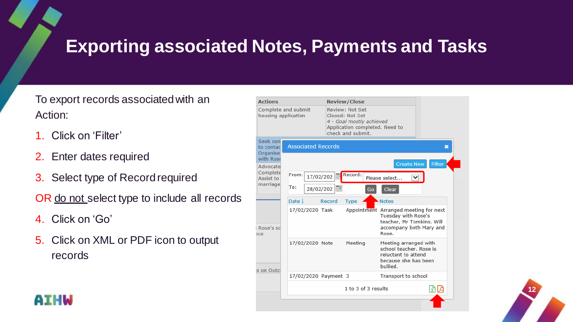#### **Exporting associated Notes, Payments and Tasks**

- To export records associated with an Action:
- 1. Click on 'Filter'
- 2. Enter dates required
- 3. Select type of Record required
- OR do not select type to include all records
- 4. Click on 'Go'
- 5. Click on XML or PDF icon to output records





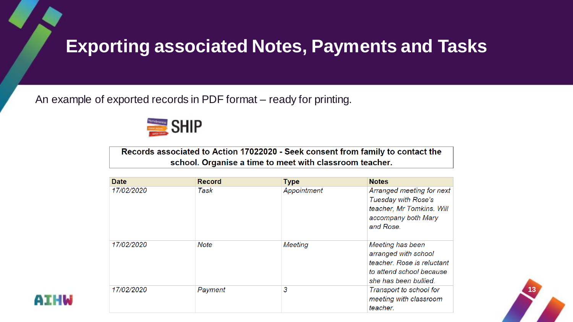#### **Exporting associated Notes, Payments and Tasks**

An example of exported records in PDF format – ready for printing.



Records associated to Action 17022020 - Seek consent from family to contact the school. Organise a time to meet with classroom teacher.

| <b>Date</b> | <b>Record</b> | <b>Type</b> | <b>Notes</b>                                                                                                                |
|-------------|---------------|-------------|-----------------------------------------------------------------------------------------------------------------------------|
| 17/02/2020  | Task          | Appointment | Arranged meeting for next<br>Tuesday with Rose's<br>teacher, Mr Tomkins. Will<br>accompany both Mary<br>and Rose.           |
| 17/02/2020  | <b>Note</b>   | Meeting     | Meeting has been<br>arranged with school<br>teacher. Rose is reluctant<br>to attend school because<br>she has been bullied. |
| 17/02/2020  | Payment       | 3           | Transport to school for<br>meeting with classroom<br>teacher.                                                               |

**13**

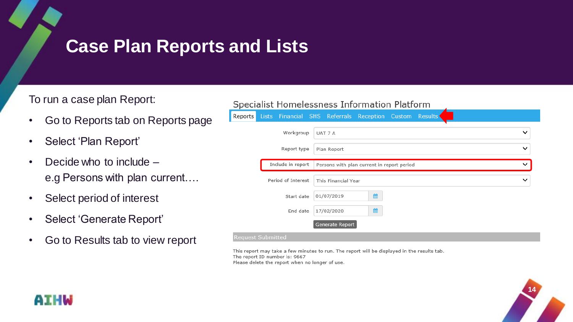### <span id="page-13-0"></span>**Case Plan Reports and Lists**

#### To run a case plan Report:

- Go to Reports tab on Reports page
- Select 'Plan Report'
- Decide who to include e.g Persons with plan current….
- Select period of interest
- Select 'Generate Report'
- Go to Results tab to view report

|                          |                    | Specialist Homelessness Information Platform                     |              |
|--------------------------|--------------------|------------------------------------------------------------------|--------------|
| Reports                  |                    | Lists Financial SHS Referrals Reception Custom<br><b>Results</b> |              |
|                          | Workgroup          | UAT 7 A                                                          | $\check{ }$  |
|                          | Report type        | Plan Report                                                      | $\check{ }$  |
|                          | Include in report  | Persons with plan current in report period                       | $\checkmark$ |
|                          | Period of Interest | This Financial Year                                              |              |
|                          | Start date         | 鱛<br>01/07/2019                                                  |              |
|                          | End date           | 雦<br>17/02/2020                                                  |              |
|                          |                    | Generate Report                                                  |              |
| <b>Request Submitted</b> |                    |                                                                  |              |

This report may take a few minutes to run. The report will be displayed in the results tab. The report ID number is: 9667 Please delete the report when no longer of use.